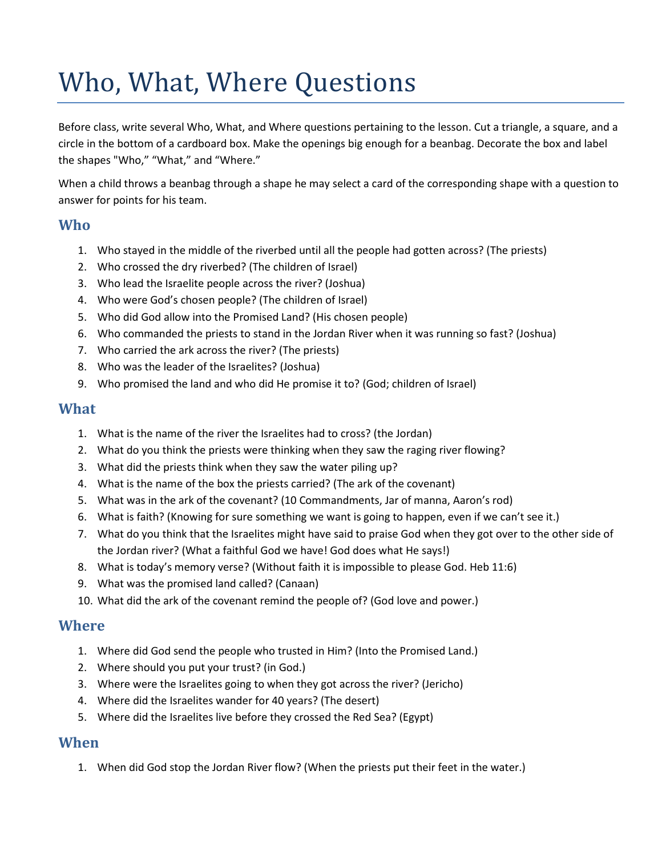# Who, What, Where Questions

Before class, write several Who, What, and Where questions pertaining to the lesson. Cut a triangle, a square, and a circle in the bottom of a cardboard box. Make the openings big enough for a beanbag. Decorate the box and label the shapes "Who," "What," and "Where."

When a child throws a beanbag through a shape he may select a card of the corresponding shape with a question to answer for points for his team.

#### **Who**

- 1. Who stayed in the middle of the riverbed until all the people had gotten across? (The priests)
- 2. Who crossed the dry riverbed? (The children of Israel)
- 3. Who lead the Israelite people across the river? (Joshua)
- 4. Who were God's chosen people? (The children of Israel)
- 5. Who did God allow into the Promised Land? (His chosen people)
- 6. Who commanded the priests to stand in the Jordan River when it was running so fast? (Joshua)
- 7. Who carried the ark across the river? (The priests)
- 8. Who was the leader of the Israelites? (Joshua)
- 9. Who promised the land and who did He promise it to? (God; children of Israel)

### **What**

- 1. What is the name of the river the Israelites had to cross? (the Jordan)
- 2. What do you think the priests were thinking when they saw the raging river flowing?
- 3. What did the priests think when they saw the water piling up?
- 4. What is the name of the box the priests carried? (The ark of the covenant)
- 5. What was in the ark of the covenant? (10 Commandments, Jar of manna, Aaron's rod)
- 6. What is faith? (Knowing for sure something we want is going to happen, even if we can't see it.)
- 7. What do you think that the Israelites might have said to praise God when they got over to the other side of the Jordan river? (What a faithful God we have! God does what He says!)
- 8. What is today's memory verse? (Without faith it is impossible to please God. Heb 11:6)
- 9. What was the promised land called? (Canaan)
- 10. What did the ark of the covenant remind the people of? (God love and power.)

#### **Where**

- 1. Where did God send the people who trusted in Him? (Into the Promised Land.)
- 2. Where should you put your trust? (in God.)
- 3. Where were the Israelites going to when they got across the river? (Jericho)
- 4. Where did the Israelites wander for 40 years? (The desert)
- 5. Where did the Israelites live before they crossed the Red Sea? (Egypt)

#### **When**

1. When did God stop the Jordan River flow? (When the priests put their feet in the water.)